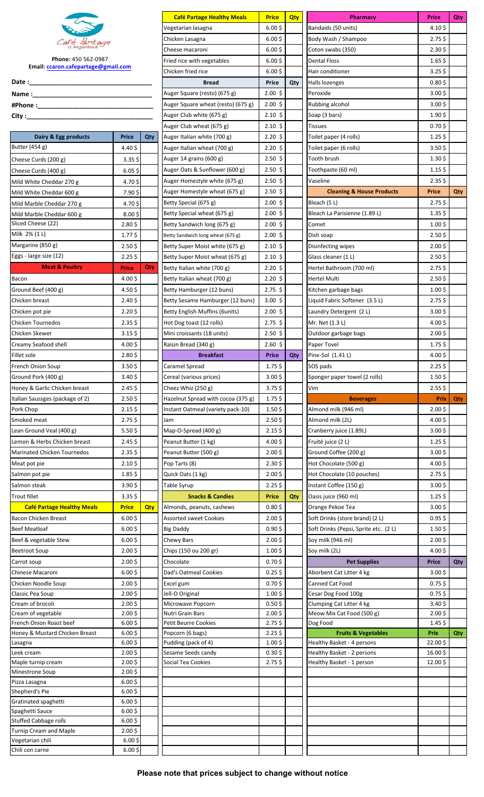

## **Phone:** 450 562-0987 **Email: ccaron.cafepartage@gmail.com**

| <b>Date :</b>                                                                                                                                                                                                                  |  |
|--------------------------------------------------------------------------------------------------------------------------------------------------------------------------------------------------------------------------------|--|
| Name: when the contract of the contract of the contract of the contract of the contract of the contract of the contract of the contract of the contract of the contract of the contract of the contract of the contract of the |  |
| #Phone :                                                                                                                                                                                                                       |  |
|                                                                                                                                                                                                                                |  |

| Dairy & Egg products                | <b>Price</b>         | Qty | Auger Italian white (700 g)        | $2.20$ \$         |     | Toilet paper (4 rolls)                | $1.25$ \$         |                 |
|-------------------------------------|----------------------|-----|------------------------------------|-------------------|-----|---------------------------------------|-------------------|-----------------|
| Butter (454 g)                      | 4.40\$               |     | Auger Italian wheat (700 g)        | $2.20$ \$         |     | Toilet paper (6 rolls)                | $3.50\frac{2}{3}$ |                 |
| Cheese Curds (200 g)                | $3.35\,\frac{1}{2}$  |     | Auger 14 grains (600 g)            | $2.50$ \$         |     | Tooth brush                           | $1.30\,\$$        |                 |
| Cheese Curds (400 g)                | $6.05$ \$            |     | Auger Oats & Sunflower (600 g)     | $2.50\;$ \$       |     | Toothpaste (60 ml)                    | $1.15\,\$$        |                 |
| Mild White Cheddar 270 g            | 4.70\$               |     | Auger Homestyle white (675 g)      | $2.50\;$ \$       |     | Vaseline                              | $2.35\frac{1}{2}$ |                 |
| Mild White Cheddar 600 g            | $7.90\,\text{S}$     |     | Auger Homestyle wheat (675 g)      | $2.50\;$ \$       |     | <b>Cleaning &amp; House Products</b>  | <b>Price</b>      | Q <sub>ty</sub> |
| Mild Marble Cheddar 270 g           | 4.70\$               |     | Betty Special (675 g)              | $2.00$ \$         |     | Bleach (5 L)                          | $2.75$ \$         |                 |
| Mild Marble Cheddar 600 g           | $8.00\frac{1}{2}$    |     | Betty Special wheat (675 g)        | $2.00\,$ \$       |     | Bleach La Parisienne (1.89 L)         | $1.35\,\$$        |                 |
| Sliced Cheese (22)                  | $2.80\frac{1}{2}$    |     | Betty Sandwich long (675 g)        | $2.00\,$ \$       |     | Comet                                 | $1.00\,\text{S}$  |                 |
| Milk 2% (1 L)                       | $1.77\frac{1}{2}$    |     | Betty Sandwich long wheat (675 g)  | $2.00\,$ \$       |     | Dish soap                             | $2.50\frac{1}{2}$ |                 |
| Margarine (850 g)                   | $2.50\,\$$           |     | Betty Super Moist white (675 g)    | $2.10\;$ \$       |     | Disinfecting wipes                    | $2.00\frac{1}{2}$ |                 |
| Eggs - large size (12)              | $2.25$ \$            |     | Betty Super Moist wheat (675 g)    | $2.10\;$ \$       |     | Glass cleaner (1 L)                   | $2.50\frac{1}{2}$ |                 |
| <b>Meat &amp; Poultry</b>           | <b>Price</b>         | Qty | Betty Italian white (700 g)        | $2.20\;$ \$       |     | Hertel Bathroom (700 ml)              | $2.75$ \$         |                 |
| Bacon                               | $4.00\,\text{S}$     |     | Betty Italian wheat (700 g)        | $2.20\;$ \$       |     | <b>Hertel Multi</b>                   | $2.50$ \$         |                 |
|                                     | 4.50\$               |     |                                    |                   |     | Kitchen garbage bags                  |                   |                 |
| Ground Beef (400 g)                 |                      |     | Betty Hamburger (12 buns)          | $2.75$ \$         |     |                                       | $1.00\frac{1}{5}$ |                 |
| Chicken breast                      | $2.40\frac{1}{2}$    |     | Betty Sesame Hamburger (12 buns)   | $3.00$ \$         |     | Liquid Fabric Softener (3.5 L)        | $2.75$ \$         |                 |
| Chicken pot pie                     | $2.20$ \$            |     | Betty English Muffins (6units)     | $2.00\,$ \$       |     | Laundry Detergent (2 L)               | 3.00 <sub>5</sub> |                 |
| Chicken Tournedos                   | $2.35\frac{1}{2}$    |     | Hot Dog toast (12 rolls)           | $2.75$ \$         |     | Mr. Net (1.3 L)                       | 4.00\$            |                 |
| Chicken Skewer                      | $3.15\frac{1}{2}$    |     | Mini croissants (18 units)         | $2.50\;$ \$       |     | Outdoor garbage bags                  | 2.00 <sub>5</sub> |                 |
| Creamy Seafood shell                | 4.00 <sub>5</sub>    |     | Raisin Bread (340 g)               | $2.60 \text{ }$   |     | Paper Tovel                           | $1.75$ \$         |                 |
| Fillet sole                         | $2.80\,\text{S}$     |     | <b>Breakfast</b>                   | Price             | Qty | Pine-Sol (1.41 L)                     | 4.00 <sub>5</sub> |                 |
| French Onion Soup                   | $3.50\,\$$           |     | Caramel Spread                     | $1.75$ \$         |     | SOS pads                              | $2.25$ \$         |                 |
| Ground Pork (400 g)                 | $3.40\frac{1}{2}$    |     | Cereal (various prices)            | $3.00\frac{1}{2}$ |     | Sponger paper towel (2 rolls)         | $1.50\,\$$        |                 |
| Honey & Garlic Chicken breast       | $2.45$ \$            |     | Cheez Whiz (250 g)                 | 3.75 <sub>5</sub> |     | Vim                                   | $2.55$ \$         |                 |
| Italian Saussges (package of 2)     | $2.50\frac{1}{2}$    |     | Hazelnut Spread with cocoa (375 g) | $1.75$ \$         |     | <b>Beverages</b>                      | <b>Prix</b>       | Qty             |
| Pork Chop                           | $2.15$ \$            |     | Instant Oatmeal (variety pack-10)  | $1.50\,\$$        |     | Almond milk (946 ml)                  | $2.00\frac{1}{5}$ |                 |
| Smoked meat                         | $2.75$ \$            |     | Jam                                | $2.50\frac{1}{2}$ |     | Almond milk (2L)                      | 4.00 <sub>5</sub> |                 |
| Lean Ground Veal (400 g)            | $5.50$ \$            |     | Map-O-Spread (400 g)               | $2.15$ \$         |     | Cranberry juice (1.89L)               | $3.00\frac{1}{5}$ |                 |
| Lemon & Herbs Chicken breast        | $2.45$ \$            |     | Peanut Butter (1 kg)               | 4.00 <sub>5</sub> |     | Fruité juice (2L)                     | $1.25$ \$         |                 |
| <b>Marinated Chicken Tournedos</b>  | $2.35\frac{1}{2}$    |     | Peanut Butter (500 g)              | $2.00\frac{1}{2}$ |     | Ground Coffee (200 g)                 | 3.00 <sub>5</sub> |                 |
| Meat pot pie                        | $2.10\,\$$           |     | Pop Tarts (8)                      | $2.30\,\$$        |     | Hot Chocolate (500 g)                 | 4.00 <sub>5</sub> |                 |
| Salmon pot pie                      | $1.85\frac{1}{2}$    |     | Quick Oats (1 kg)                  | $2.00\frac{1}{2}$ |     | Hot Chocolate (10 pouches)            | $2.75$ \$         |                 |
| Salmon steak                        | 3.90 \$              |     | Table Syrup                        | $2.25$ \$         |     | Instant Coffee (150 g)                | 3.00 \$           |                 |
| <b>Trout fillet</b>                 | $3.35\frac{1}{2}$    |     | <b>Snacks &amp; Candies</b>        | <b>Price</b>      | Qty | Oasis juice (960 ml)                  | $1.25$ \$         |                 |
| <b>Café Partage Healthy Meals</b>   | <b>Price</b>         | Qty | Almonds, peanuts, cashews          | $0.80\frac{1}{2}$ |     | Orange Pekoe Tea                      | $3.00\frac{1}{5}$ |                 |
| Bacon Chicken Breast                | 6.00 \$              |     | <b>Assorted sweet Cookies</b>      | $2.00\frac{1}{2}$ |     | Soft Drinks (store brand) (2 L)       | $0.95$ \$         |                 |
| <b>Beef Meatloaf</b>                | 6.00 \$              |     | <b>Big Daddy</b>                   | $0.90$ \$         |     | Soft Drinks (Pepsi, Sprite etc. (2 L) | $1.50\,\text{S}$  |                 |
| Beef & vegetable Stew               | 6.00 \$              |     | Chewy Bars                         | $2.00$ \$         |     | Soy milk (946 ml)                     | $2.00\frac{1}{2}$ |                 |
| Beetroot Soup                       | $2.00\frac{1}{5}$    |     | Chips (150 ou 200 gr)              | $1.00$ \$         |     | Soy milk (2L)                         | 4.00\$            |                 |
| Carrot soup                         | $2.00\frac{1}{2}$    |     | Chocolate                          | $0.70$ \$         |     | <b>Pet Supplies</b>                   | <b>Price</b>      | Q <sub>ty</sub> |
| Chinese Macaroni                    | 6.00 \$              |     | Dad's Oatmeal Cookies              | $0.25$ \$         |     | Aborbent Cat Litter 4 kg              | $3.00\frac{1}{5}$ |                 |
| Chicken Noodle Soup                 | $2.00\frac{1}{5}$    |     | Excel gum                          | $0.70$ \$         |     | Canned Cat Food                       | $0.75$ \$         |                 |
| Classic Pea Soup                    | $2.00\frac{1}{2}$    |     | Jell-O Original                    | $1.00\frac{1}{2}$ |     | Cesar Dog Food 100g                   | $0.75$ \$         |                 |
| Cream of brocoli                    | $2.00\frac{1}{2}$    |     | Microwave Popcorn                  | $0.50$ \$         |     | Clumping Cat Litter 4 kg              | $3.40\frac{1}{2}$ |                 |
| Cream of vegetable                  | $2.00\frac{1}{2}$    |     | Nutri Grain Bars                   | $2.00\frac{1}{2}$ |     | Meow Mix Cat Food (500 g)             | $2.00\frac{1}{2}$ |                 |
| French Onion Roast beef             | 6.00 \$              |     | <b>Petit Beurre Cookies</b>        | $2.75$ \$         |     | Dog Food                              | $1.45$ \$         |                 |
| Honey & Mustard Chicken Breast      | 6.00 \$              |     | Popcorn (6 bags)                   | $2.25$ \$         |     | <b>Fruits &amp; Vegetables</b>        | Prix              | Qty             |
| Lasagna                             | 6.00 \$              |     | Pudding (pack of 4)                | $1.00\frac{1}{2}$ |     | Healthy Basket - 4 persons            | 22.00\$           |                 |
| Leek cream                          | $2.00\frac{1}{2}$    |     | Sesame Seeds candy                 | $0.30\frac{1}{2}$ |     | Healthy Basket - 2 persons            | 16.00\$           |                 |
| Maple turnip cream                  | $2.00\frac{1}{2}$    |     | Social Tea Cookies                 | $2.75$ \$         |     | Healthy Basket - 1 person             | 12.00\$           |                 |
| Minestrone Soup                     | $2.00\frac{1}{2}$    |     |                                    |                   |     |                                       |                   |                 |
| Pizza Lasagna                       | $6.00$ \$            |     |                                    |                   |     |                                       |                   |                 |
| Shepherd's Pie                      | $6.00$ \$            |     |                                    |                   |     |                                       |                   |                 |
| Gratinated spaghetti                | $6.00$ \$            |     |                                    |                   |     |                                       |                   |                 |
| Spaghetti Sauce                     | 6.00 \$              |     |                                    |                   |     |                                       |                   |                 |
| <b>Stuffed Cabbage rolls</b>        | $6.00\frac{1}{2}$    |     |                                    |                   |     |                                       |                   |                 |
| <b>Turnip Cream and Maple</b>       | 2.00 <sub>5</sub>    |     |                                    |                   |     |                                       |                   |                 |
| Vegetarian chili<br>Chili con carne | $6.00$ \$<br>6.00 \$ |     |                                    |                   |     |                                       |                   |                 |
|                                     |                      |     |                                    |                   |     |                                       |                   |                 |

| <b>Café Partage Healthy Meals</b>  | <b>Price</b>      | Qty | <b>Pharmacy</b>                       | Price                                              |
|------------------------------------|-------------------|-----|---------------------------------------|----------------------------------------------------|
| Vegetarian lasagna                 | 6.00 \$           |     | Bandaids (50 units)                   | $4.10 \frac{5}{7}$                                 |
| Chicken Lasagna                    | 6.00 \$           |     | Body Wash / Shampoo                   | 2.75 <sup>5</sup>                                  |
| Cheese macaroni                    | 6.00 \$           |     | Coton swabs (350)                     | $2.30 \frac{3}{7}$                                 |
| Fried rice with vegetables         | 6.00 \$           |     | <b>Dental Floss</b>                   | $1.65\sqrt{2}$                                     |
| Chicken fried rice                 | $6.00\frac{1}{2}$ |     | Hair conditioner                      | $3.25\frac{6}{7}$                                  |
| <b>Bread</b>                       | Price             | Qty | Halls lozenges                        | $0.80\sqrt{2}$                                     |
| Auger Square (resto) (675 g)       | $2.00\,$ \$       |     | Peroxide                              | $3.00\frac{5}{7}$                                  |
|                                    | $2.00$ \$         |     | Rubbing alcohol                       | $3.00\frac{3}{7}$                                  |
| Auger Square wheat (resto) (675 g) |                   |     |                                       |                                                    |
| Auger Club white (675 g)           | $2.10 \;$ \$      |     | Soap (3 bars)                         | $1.90 \frac{3}{7}$                                 |
| Auger Club wheat (675 g)           | $2.10 \;$ \$      |     | <b>Tissues</b>                        | $0.70\frac{5}{7}$                                  |
| Auger Italian white (700 g)        | $2.20\;$ \$       |     | Toilet paper (4 rolls)                | $1.25$ \$                                          |
| Auger Italian wheat (700 g)        | $2.20\;$ \$       |     | Toilet paper (6 rolls)                | 3.50 <sub>5</sub>                                  |
| Auger 14 grains (600 g)            | $2.50$ \$         |     | Tooth brush                           | $1.30 \frac{3}{7}$                                 |
| Auger Oats & Sunflower (600 g)     | $2.50\;$ \$       |     | Toothpaste (60 ml)                    | $1.15 \frac{3}{7}$                                 |
| Auger Homestyle white (675 g)      | $2.50\;$ \$       |     | Vaseline                              | $2.35\frac{3}{7}$                                  |
| Auger Homestyle wheat (675 g)      | $2.50$ \$         |     | <b>Cleaning &amp; House Products</b>  | <b>Price</b>                                       |
| Betty Special (675 g)              | $2.00\,$ \$       |     | Bleach (5 L)                          | 2.75 <sup>5</sup>                                  |
| Betty Special wheat (675 g)        | $2.00\,$ \$       |     | Bleach La Parisienne (1.89 L)         | $1.35\sqrt{2}$                                     |
| Betty Sandwich long (675 g)        | $2.00\;$ \$       |     | Comet                                 | 1.00 <sub>5</sub>                                  |
| Betty Sandwich long wheat (675 g)  | $2.00\,$ \$       |     | Dish soap                             | 2.50 <sub>5</sub>                                  |
| Betty Super Moist white (675 g)    | $2.10 \;$ \$      |     | Disinfecting wipes                    | 2.00 <sub>5</sub>                                  |
| Betty Super Moist wheat (675 g)    | $2.10 \;$ \$      |     | Glass cleaner (1 L)                   | 2.50 <sub>5</sub>                                  |
| Betty Italian white (700 g)        | $2.20$ \$         |     | Hertel Bathroom (700 ml)              | $2.75\frac{4}{7}$                                  |
| Betty Italian wheat (700 g)        | $2.20\;$ \$       |     | Hertel Multi                          | 2.50 <sub>5</sub>                                  |
| Betty Hamburger (12 buns)          | $2.75$ \$         |     | Kitchen garbage bags                  | $1.00 \frac{3}{7}$                                 |
| Betty Sesame Hamburger (12 buns)   | $3.00$ \$         |     | Liquid Fabric Softener (3.5 L)        | $2.75\frac{4}{7}$                                  |
| Betty English Muffins (6units)     | $2.00\,$ \$       |     | Laundry Detergent (2L)                | 3.00 <sub>5</sub>                                  |
| Hot Dog toast (12 rolls)           | $2.75$ \$         |     | Mr. Net (1.3 L)                       | 4.00 \$                                            |
| Mini croissants (18 units)         | $2.50\;$ \$       |     | Outdoor garbage bags                  | 2.00 <sub>5</sub>                                  |
| Raisin Bread (340 g)               | 2.60S             |     | Paper Tovel                           | 1.75 <sup>5</sup>                                  |
| <b>Breakfast</b>                   | <b>Price</b>      | Qty | Pine-Sol (1.41 L)                     | 4.00 \$                                            |
| Caramel Spread                     | $1.75$ \$         |     | SOS pads                              | $2.25$ \$                                          |
| Cereal (various prices)            | $3.00$ \$         |     | Sponger paper towel (2 rolls)         | $1.50 \frac{3}{7}$                                 |
| Cheez Whiz (250 g)                 | $3.75$ \$         |     | Vim                                   | 2.55 <sup>5</sup>                                  |
| Hazelnut Spread with cocoa (375 g) | 1.75 \$           |     | <b>Beverages</b>                      | Prix                                               |
| Instant Oatmeal (variety pack-10)  | $1.50 \;$ \$      |     | Almond milk (946 ml)                  | 2.00 <sub>5</sub>                                  |
| Jam                                | $2.50\frac{1}{2}$ |     | Almond milk (2L)                      | 4.00 \$                                            |
|                                    | $2.15$ \$         |     |                                       | 3.00 <sub>5</sub>                                  |
| Map-O-Spread $(400 g)$             |                   |     | Cranberry juice (1.89L)               |                                                    |
| Peanut Butter (1 kg)               | 4.00\$            |     | Fruité juice (2L)                     | $1.25\frac{3}{7}$                                  |
| Peanut Butter (500 g)              | 2.00 <sub>5</sub> |     | Ground Coffee (200 g)                 | $3.00\frac{3}{7}$                                  |
| Pop Tarts (8)                      | 2.30\$            |     | Hot Chocolate (500 g)                 | 4.00 \$                                            |
| Quick Oats (1 kg)                  | $2.00\frac{1}{2}$ |     | Hot Chocolate (10 pouches)            | 2.75 <sup>5</sup>                                  |
| Table Syrup                        | $2.25$ \$         |     | Instant Coffee (150 g)                | 3.00 <sub>5</sub>                                  |
| <b>Snacks &amp; Candies</b>        | Price             | Qty | Oasis juice (960 ml)                  | $1.25\frac{3}{7}$                                  |
| Almonds, peanuts, cashews          | $0.80$ \$         |     |                                       |                                                    |
| <b>Assorted sweet Cookies</b>      |                   |     | Orange Pekoe Tea                      |                                                    |
|                                    | $2.00\frac{1}{2}$ |     | Soft Drinks (store brand) (2 L)       | $3.00\frac{3}{7}$<br>$0.95 \frac{3}{7}$            |
| <b>Big Daddy</b>                   | $0.90\frac{1}{5}$ |     | Soft Drinks (Pepsi, Sprite etc. (2 L) | 1.50 <sub>5</sub>                                  |
| Chewy Bars                         | $2.00\frac{1}{2}$ |     | Soy milk (946 ml)                     | 2.00 <sub>5</sub>                                  |
| Chips (150 ou 200 gr)              | $1.00\frac{1}{2}$ |     | Soy milk (2L)                         | 4.00 \$                                            |
| Chocolate                          | $0.70$ \$         |     | <b>Pet Supplies</b>                   | <b>Price</b>                                       |
| Dad's Oatmeal Cookies              | $0.25$ \$         |     | Aborbent Cat Litter 4 kg              |                                                    |
| Excel gum                          | $0.70$ \$         |     | Canned Cat Food                       | 3.00 <sub>5</sub><br>$0.75$ \$                     |
| Jell-O Original                    | $1.00\,$ \$       |     | Cesar Dog Food 100g                   | $0.75 \frac{3}{7}$                                 |
| Microwave Popcorn                  | $0.50$ \$         |     | Clumping Cat Litter 4 kg              | $3.40\frac{3}{7}$                                  |
| Nutri Grain Bars                   | $2.00$ \$         |     | Meow Mix Cat Food (500 g)             |                                                    |
| Petit Beurre Cookies               | $2.75$ \$         |     | Dog Food                              |                                                    |
| Popcorn (6 bags)                   | $2.25$ \$         |     | <b>Fruits &amp; Vegetables</b>        | Prix                                               |
| Pudding (pack of 4)                | $1.00\,$ \$       |     | Healthy Basket - 4 persons            | $2.00\frac{3}{7}$<br>$1.45 \frac{3}{7}$<br>22.00\$ |
| Sesame Seeds candy                 | $0.30\frac{1}{2}$ |     | Healthy Basket - 2 persons            |                                                    |
| Social Tea Cookies                 | $2.75$ \$         |     | Healthy Basket - 1 person             |                                                    |
|                                    |                   |     |                                       |                                                    |
|                                    |                   |     |                                       |                                                    |
|                                    |                   |     |                                       |                                                    |
|                                    |                   |     |                                       |                                                    |
|                                    |                   |     |                                       |                                                    |
|                                    |                   |     |                                       | $16.00 \frac{2}{3}$<br>12.00\$                     |
|                                    |                   |     |                                       |                                                    |

| <b>Café Partage Healthy Meals</b>                                                                           | <b>Price</b>                           | Qty | Pharmacy                                                | <b>Price</b>                   | Qty |
|-------------------------------------------------------------------------------------------------------------|----------------------------------------|-----|---------------------------------------------------------|--------------------------------|-----|
| etarian lasagna                                                                                             | $6.00\frac{1}{2}$                      |     | Bandaids (50 units)                                     | $4.10\,\$$                     |     |
| ken Lasagna:                                                                                                | $6.00\frac{1}{2}$                      |     | Body Wash / Shampoo                                     | $2.75$ \$                      |     |
| ese macaroni                                                                                                | $6.00\frac{1}{2}$                      |     | Coton swabs (350)                                       | $2.30\,\$$                     |     |
| d rice with vegetables                                                                                      | $6.00$ \$                              |     | <b>Dental Floss</b>                                     | $1.65$ \$                      |     |
| ken fried rice:                                                                                             | $6.00\frac{1}{2}$                      |     | Hair conditioner                                        | $3.25$ \$                      |     |
| <b>Bread</b>                                                                                                | Price                                  | Qty | Halls lozenges                                          | $0.80\frac{1}{2}$              |     |
| er Square (resto) (675 g)                                                                                   | 2.00 \$                                |     | Peroxide                                                | $3.00\frac{5}{7}$              |     |
| er Square wheat (resto) (675 g)                                                                             | 2.00 \$                                |     | Rubbing alcohol                                         | 3.00\$                         |     |
| er Club white (675 g)                                                                                       | $2.10 \;$ \$                           |     | Soap (3 bars)                                           | $1.90\,\$$                     |     |
|                                                                                                             | $2.10 \;$ \$                           |     | <b>Tissues</b>                                          | $0.70$ \$                      |     |
| er Club wheat (675 g)                                                                                       |                                        |     |                                                         |                                |     |
| er Italian white (700 g)                                                                                    | $2.20\;$ \$                            |     | Toilet paper (4 rolls)                                  | $1.25\frac{1}{2}$              |     |
| er Italian wheat (700 g)                                                                                    | $2.20\;$ \$                            |     | Toilet paper (6 rolls)                                  | $3.50\frac{2}{3}$              |     |
| er 14 grains (600 g)                                                                                        | $2.50$ \$                              |     | Tooth brush                                             | $1.30\,\$$                     |     |
| er Oats & Sunflower (600 g)                                                                                 | $2.50\;$ \$                            |     | Toothpaste (60 ml)                                      | $1.15$ \$                      |     |
| er Homestyle white (675 g)                                                                                  | 2.50 \$                                |     | Vaseline                                                | $2.35\frac{1}{2}$              |     |
| er Homestyle wheat (675 g)                                                                                  | $2.50$ \$                              |     | <b>Cleaning &amp; House Products</b>                    | Price                          | Qty |
| y Special (675 g)                                                                                           | 2.00 \$                                |     | Bleach (5 L)                                            | $2.75$ \$                      |     |
| y Special wheat (675 g)                                                                                     | $2.00$ \$                              |     | Bleach La Parisienne (1.89 L)                           | 1.35 \$                        |     |
| y Sandwich long (675 g)                                                                                     | $2.00$ \$                              |     | Comet                                                   | $1.00\,\$$                     |     |
| y Sandwich long wheat (675 g)                                                                               | 2.00 \$                                |     | Dish soap                                               | $2.50$ \$                      |     |
| y Super Moist white (675 g)                                                                                 | $2.10 \;$ \$                           |     | Disinfecting wipes                                      | $2.00\frac{1}{2}$              |     |
| y Super Moist wheat (675 g)                                                                                 | $2.10\,$ \$                            |     | Glass cleaner (1 L)                                     | $2.50\frac{1}{2}$              |     |
| y Italian white (700 g):                                                                                    | $2.20$ \$                              |     | Hertel Bathroom (700 ml)                                | 2.75\$                         |     |
| y Italian wheat (700 g):                                                                                    | 2.20 \$                                |     | <b>Hertel Multi</b>                                     | $2.50\,\$$                     |     |
| y Hamburger (12 buns):                                                                                      | $2.75$ \$                              |     | Kitchen garbage bags                                    | $1.00\,$ \$                    |     |
| y Sesame Hamburger (12 buns)                                                                                | $3.00\;$ \$                            |     | Liquid Fabric Softener (3.5 L)                          | $2.75$ \$                      |     |
|                                                                                                             |                                        |     |                                                         |                                |     |
| y English Muffins (6units)                                                                                  | $2.00\,$ \$                            |     | Laundry Detergent (2 L)                                 | $3.00\frac{1}{2}$              |     |
| Dog toast (12 rolls)                                                                                        | $2.75$ \$                              |     | Mr. Net (1.3 L)                                         | 4.00\$                         |     |
| i croissants (18 units)                                                                                     | $2.50\;$ \$                            |     | Outdoor garbage bags                                    | $2.00\frac{1}{5}$              |     |
| in Bread (340 g)                                                                                            | $2.60$ \$                              |     | Paper Tovel                                             | $1.75$ \$                      |     |
| <b>Breakfast</b>                                                                                            | <b>Price</b>                           | Qty | Pine-Sol (1.41 L)                                       | 4.00\$                         |     |
| amel Spread                                                                                                 | $1.75$ \$                              |     | SOS pads                                                | $2.25$ \$                      |     |
| eal (various prices)                                                                                        | $3.00$ \$                              |     | Sponger paper towel (2 rolls)                           | $1.50\,\$$                     |     |
| ez Whiz (250 g)                                                                                             | 3.75 \$                                |     | Vim                                                     | $2.55$ \$                      |     |
| elnut Spread with cocoa (375 g)                                                                             | $1.75$ \$                              |     | <b>Beverages</b>                                        | Prix                           | Qty |
|                                                                                                             |                                        |     | Almond milk (946 ml)                                    |                                |     |
|                                                                                                             | $1.50 \text{ }$ \$                     |     |                                                         | $2.00\frac{1}{2}$              |     |
|                                                                                                             | $2.50\frac{1}{2}$                      |     | Almond milk (2L)                                        | 4.00 <sub>5</sub>              |     |
| ant Oatmeal (variety pack-10)<br>0-O-Spread (400 g)                                                         | $2.15$ \$                              |     | Cranberry juice (1.89L)                                 | $3.00\frac{1}{5}$              |     |
| nut Butter (1 kg)                                                                                           | 4.00 \$                                |     | Fruité juice (2L)                                       | $1.25$ \$                      |     |
| nut Butter (500 g)                                                                                          | $2.00\frac{1}{2}$                      |     | Ground Coffee (200 g)                                   | $3.00\frac{1}{5}$              |     |
|                                                                                                             | $2.30\,\text{S}$                       |     | Hot Chocolate (500 g)                                   | 4.00\$                         |     |
| Tarts (8)<br>ck Oats (1 kg)                                                                                 | $2.00\frac{1}{5}$                      |     | Hot Chocolate (10 pouches)                              | 2.75 \$                        |     |
| le Syrup                                                                                                    | $2.25$ \$                              |     |                                                         | $3.00\frac{1}{2}$              |     |
|                                                                                                             |                                        |     | Instant Coffee (150 g)                                  |                                |     |
| <b>Snacks &amp; Candies</b>                                                                                 | Price<br>$0.80$ \$                     | Qty | Oasis juice (960 ml)                                    | $1.25$ \$<br>$3.00\frac{1}{5}$ |     |
| onds, peanuts, cashews                                                                                      |                                        |     | Orange Pekoe Tea                                        |                                |     |
| orted sweet Cookies                                                                                         | $2.00\frac{1}{5}$                      |     | Soft Drinks (store brand) (2 L)                         | $0.95$ \$                      |     |
|                                                                                                             | $0.90\frac{1}{2}$                      |     | Soft Drinks (Pepsi, Sprite etc. (2 L)                   | $1.50\,\$$                     |     |
|                                                                                                             | 2.00 \$                                |     | Soy milk (946 ml)                                       | $2.00\frac{1}{2}$              |     |
| Daddy<br>wy Bars<br>os (150 ou 200 gr)                                                                      | $1.00\frac{1}{5}$                      |     | Soy milk (2L)                                           | 4.00 <sub>5</sub>              |     |
|                                                                                                             | $0.70$ \$                              |     | <b>Pet Supplies</b>                                     | Price                          | Qty |
| colate<br>'s Oatmeal Cookies                                                                                | $0.25$ \$                              |     | Aborbent Cat Litter 4 kg                                | $3.00\frac{1}{2}$              |     |
|                                                                                                             | $0.70$ \$                              |     | Canned Cat Food                                         | $0.75$ \$                      |     |
| el gum<br>O Original                                                                                        | $1.00\,\$$                             |     | Cesar Dog Food 100g                                     | $0.75$ \$                      |     |
| rowave Popcorn                                                                                              | $0.50$ \$                              |     | Clumping Cat Litter 4 kg                                | $3.40\frac{1}{2}$              |     |
|                                                                                                             | $2.00\frac{1}{2}$                      |     | Meow Mix Cat Food (500 g)                               | $2.00\frac{1}{2}$              |     |
|                                                                                                             | $2.75$ \$                              |     | Dog Food                                                | $1.45\frac{1}{2}$              |     |
|                                                                                                             | $2.25$ \$                              |     | <b>Fruits &amp; Vegetables</b>                          | Prix                           | Qty |
|                                                                                                             | $1.00\frac{1}{5}$<br>$0.30\frac{1}{2}$ |     | Healthy Basket - 4 persons                              | 22.00\$<br>16.00\$             |     |
|                                                                                                             | $2.75$ \$                              |     | Healthy Basket - 2 persons<br>Healthy Basket - 1 person | 12.00\$                        |     |
|                                                                                                             |                                        |     |                                                         |                                |     |
|                                                                                                             |                                        |     |                                                         |                                |     |
|                                                                                                             |                                        |     |                                                         |                                |     |
|                                                                                                             |                                        |     |                                                         |                                |     |
|                                                                                                             |                                        |     |                                                         |                                |     |
|                                                                                                             |                                        |     |                                                         |                                |     |
| ri Grain Bars<br>t Beurre Cookies<br>corn (6 bags)<br>ding (pack of 4)<br>ame Seeds candy<br>al Tea Cookies |                                        |     |                                                         |                                |     |
|                                                                                                             |                                        |     |                                                         |                                |     |